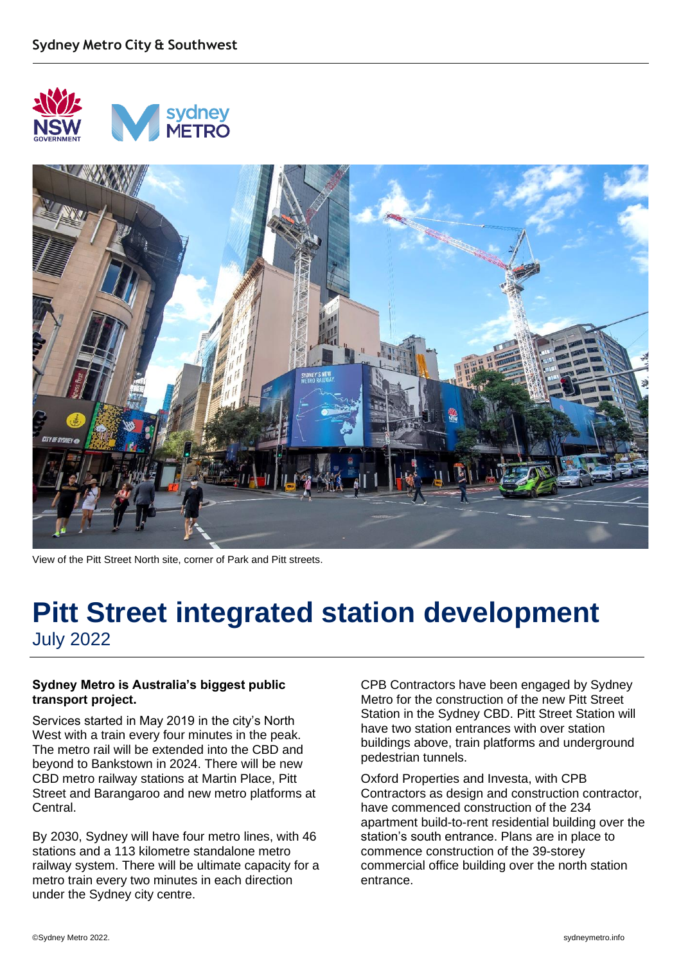



View of the Pitt Street North site, corner of Park and Pitt streets.

### **Pitt Street integrated station development** July 2022

#### **Sydney Metro is Australia's biggest public transport project.**

Services started in May 2019 in the city's North West with a train every four minutes in the peak. The metro rail will be extended into the CBD and beyond to Bankstown in 2024. There will be new CBD metro railway stations at Martin Place, Pitt Street and Barangaroo and new metro platforms at Central.

By 2030, Sydney will have four metro lines, with 46 stations and a 113 kilometre standalone metro railway system. There will be ultimate capacity for a metro train every two minutes in each direction under the Sydney city centre.

CPB Contractors have been engaged by Sydney Metro for the construction of the new Pitt Street Station in the Sydney CBD. Pitt Street Station will have two station entrances with over station buildings above, train platforms and underground pedestrian tunnels.

Oxford Properties and Investa, with CPB Contractors as design and construction contractor, have commenced construction of the 234 apartment build-to-rent residential building over the station's south entrance. Plans are in place to commence construction of the 39-storey commercial office building over the north station entrance.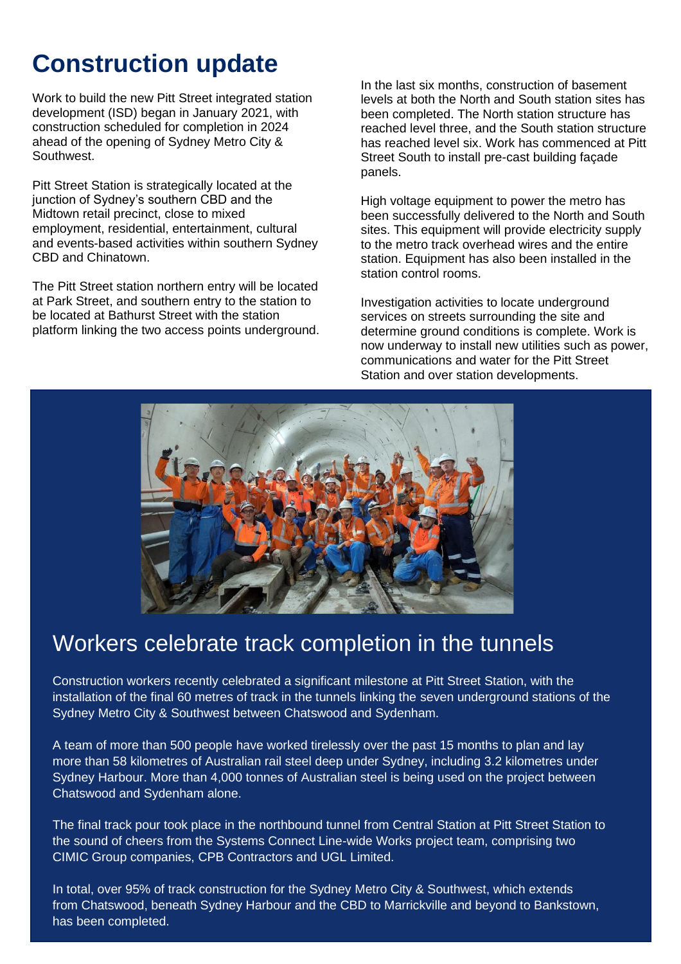# **Construction update**

Work to build the new Pitt Street integrated station development (ISD) began in January 2021, with construction scheduled for completion in 2024 ahead of the opening of Sydney Metro City & Southwest.

Pitt Street Station is strategically located at the junction of Sydney's southern CBD and the Midtown retail precinct, close to mixed employment, residential, entertainment, cultural and events-based activities within southern Sydney CBD and Chinatown.

The Pitt Street station northern entry will be located at Park Street, and southern entry to the station to be located at Bathurst Street with the station platform linking the two access points underground.

In the last six months, construction of basement levels at both the North and South station sites has been completed. The North station structure has reached level three, and the South station structure has reached level six. Work has commenced at Pitt Street South to install pre-cast building façade panels.

High voltage equipment to power the metro has been successfully delivered to the North and South sites. This equipment will provide electricity supply to the metro track overhead wires and the entire station. Equipment has also been installed in the station control rooms.

Investigation activities to locate underground services on streets surrounding the site and determine ground conditions is complete. Work is now underway to install new utilities such as power, communications and water for the Pitt Street Station and over station developments.



### Workers celebrate track completion in the tunnels

Construction workers recently celebrated a significant milestone at Pitt Street Station, with the installation of the final 60 metres of track in the tunnels linking the seven underground stations of the Sydney Metro City & Southwest between Chatswood and Sydenham.

A team of more than 500 people have worked tirelessly over the past 15 months to plan and lay more than 58 kilometres of Australian rail steel deep under Sydney, including 3.2 kilometres under Sydney Harbour. More than 4,000 tonnes of Australian steel is being used on the project between Chatswood and Sydenham alone.

The final track pour took place in the northbound tunnel from Central Station at Pitt Street Station to the sound of cheers from the Systems Connect Line-wide Works project team, comprising two CIMIC Group companies, CPB Contractors and UGL Limited.

In total, over 95% of track construction for the Sydney Metro City & Southwest, which extends from Chatswood, beneath Sydney Harbour and the CBD to Marrickville and beyond to Bankstown, has been completed.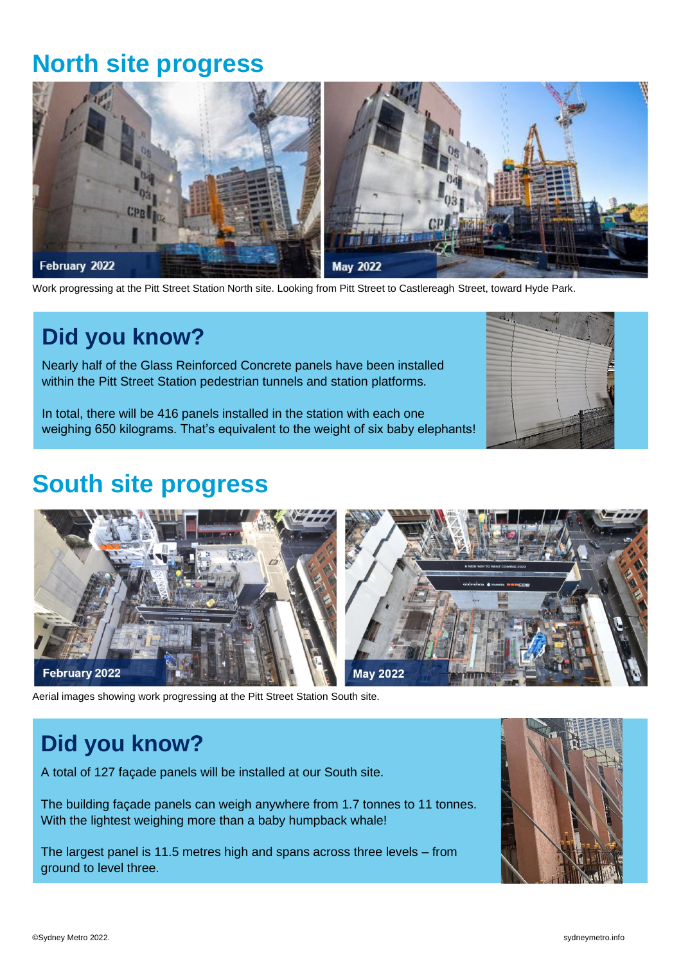## **North site progress**



Work progressing at the Pitt Street Station North site. Looking from Pitt Street to Castlereagh Street, toward Hyde Park.

## **Did you know?**

Nearly half of the Glass Reinforced Concrete panels have been installed within the Pitt Street Station pedestrian tunnels and station platforms.

In total, there will be 416 panels installed in the station with each one weighing 650 kilograms. That's equivalent to the weight of six baby elephants!



## **South site progress**



Aerial images showing work progressing at the Pitt Street Station South site.

## **Did you know?**

A total of 127 façade panels will be installed at our South site.

The building façade panels can weigh anywhere from 1.7 tonnes to 11 tonnes. With the lightest weighing more than a baby humpback whale!

The largest panel is 11.5 metres high and spans across three levels – from ground to level three.